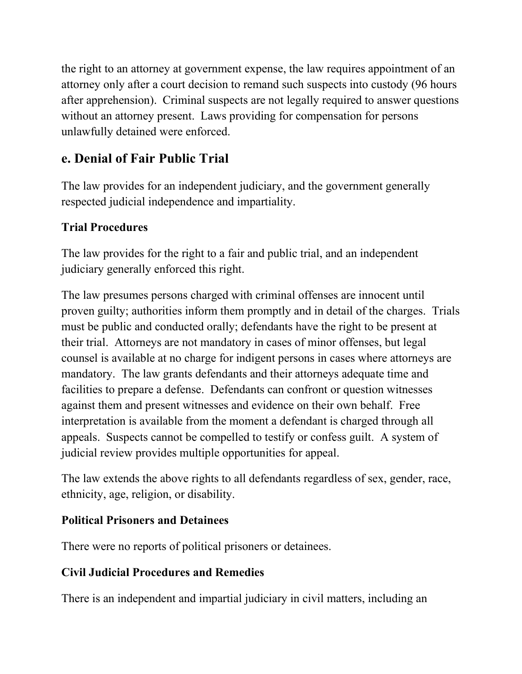the right to an attorney at government expense, the law requires appointment of an attorney only after a court decision to remand such suspects into custody (96 hours after apprehension). Criminal suspects are not legally required to answer questions without an attorney present. Laws providing for compensation for persons unlawfully detained were enforced.

## **e. Denial of Fair Public Trial**

The law provides for an independent judiciary, and the government generally respected judicial independence and impartiality.

### **Trial Procedures**

The law provides for the right to a fair and public trial, and an independent judiciary generally enforced this right.

The law presumes persons charged with criminal offenses are innocent until proven guilty; authorities inform them promptly and in detail of the charges. Trials must be public and conducted orally; defendants have the right to be present at their trial. Attorneys are not mandatory in cases of minor offenses, but legal counsel is available at no charge for indigent persons in cases where attorneys are mandatory. The law grants defendants and their attorneys adequate time and facilities to prepare a defense. Defendants can confront or question witnesses against them and present witnesses and evidence on their own behalf. Free interpretation is available from the moment a defendant is charged through all appeals. Suspects cannot be compelled to testify or confess guilt. A system of judicial review provides multiple opportunities for appeal.

The law extends the above rights to all defendants regardless of sex, gender, race, ethnicity, age, religion, or disability.

### **Political Prisoners and Detainees**

There were no reports of political prisoners or detainees.

### **Civil Judicial Procedures and Remedies**

There is an independent and impartial judiciary in civil matters, including an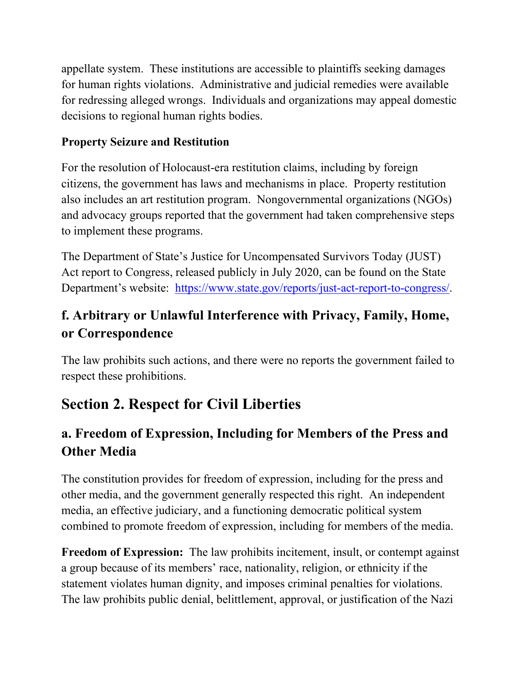appellate system. These institutions are accessible to plaintiffs seeking damages for human rights violations. Administrative and judicial remedies were available for redressing alleged wrongs. Individuals and organizations may appeal domestic decisions to regional human rights bodies.

#### **Property Seizure and Restitution**

For the resolution of Holocaust-era restitution claims, including by foreign citizens, the government has laws and mechanisms in place. Property restitution also includes an art restitution program. Nongovernmental organizations (NGOs) and advocacy groups reported that the government had taken comprehensive steps to implement these programs.

The Department of State's Justice for Uncompensated Survivors Today (JUST) Act report to Congress, released publicly in July 2020, can be found on the State Department's website: [https://www.state.gov/reports/just-act-report-to-congress/.](https://www.state.gov/reports/just-act-report-to-congress/)

## **f. Arbitrary or Unlawful Interference with Privacy, Family, Home, or Correspondence**

The law prohibits such actions, and there were no reports the government failed to respect these prohibitions.

# **Section 2. Respect for Civil Liberties**

## **a. Freedom of Expression, Including for Members of the Press and Other Media**

The constitution provides for freedom of expression, including for the press and other media, and the government generally respected this right. An independent media, an effective judiciary, and a functioning democratic political system combined to promote freedom of expression, including for members of the media.

**Freedom of Expression:** The law prohibits incitement, insult, or contempt against a group because of its members' race, nationality, religion, or ethnicity if the statement violates human dignity, and imposes criminal penalties for violations. The law prohibits public denial, belittlement, approval, or justification of the Nazi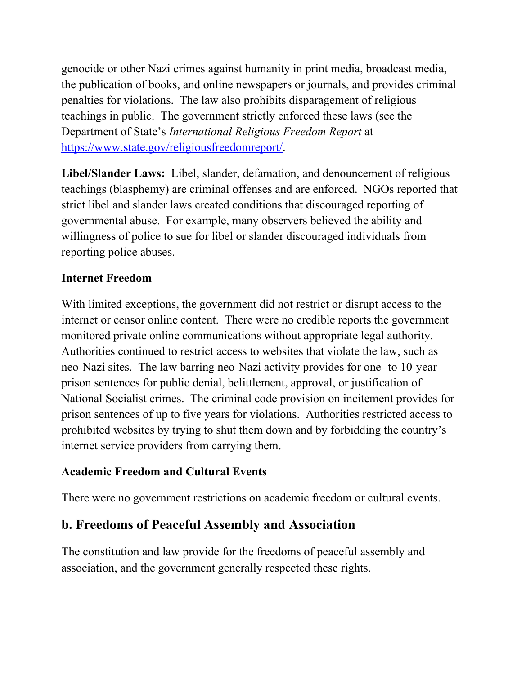genocide or other Nazi crimes against humanity in print media, broadcast media, the publication of books, and online newspapers or journals, and provides criminal penalties for violations. The law also prohibits disparagement of religious teachings in public. The government strictly enforced these laws (see the Department of State's *International Religious Freedom Report* at [https://www.state.gov/religiousfreedomreport/.](https://www.state.gov/religiousfreedomreport/)

**Libel/Slander Laws:** Libel, slander, defamation, and denouncement of religious teachings (blasphemy) are criminal offenses and are enforced. NGOs reported that strict libel and slander laws created conditions that discouraged reporting of governmental abuse. For example, many observers believed the ability and willingness of police to sue for libel or slander discouraged individuals from reporting police abuses.

#### **Internet Freedom**

With limited exceptions, the government did not restrict or disrupt access to the internet or censor online content. There were no credible reports the government monitored private online communications without appropriate legal authority. Authorities continued to restrict access to websites that violate the law, such as neo-Nazi sites. The law barring neo-Nazi activity provides for one- to 10-year prison sentences for public denial, belittlement, approval, or justification of National Socialist crimes. The criminal code provision on incitement provides for prison sentences of up to five years for violations. Authorities restricted access to prohibited websites by trying to shut them down and by forbidding the country's internet service providers from carrying them.

#### **Academic Freedom and Cultural Events**

There were no government restrictions on academic freedom or cultural events.

### **b. Freedoms of Peaceful Assembly and Association**

The constitution and law provide for the freedoms of peaceful assembly and association, and the government generally respected these rights.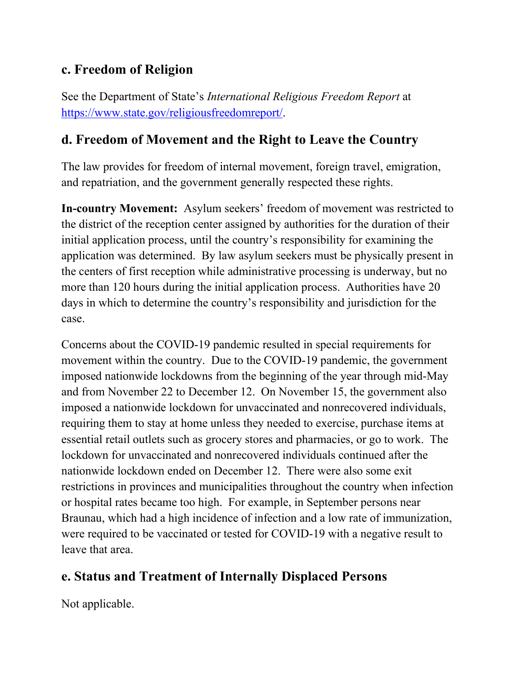### **c. Freedom of Religion**

See the Department of State's *International Religious Freedom Report* at [https://www.state.gov/religiousfreedomreport/.](https://www.state.gov/religiousfreedomreport/)

### **d. Freedom of Movement and the Right to Leave the Country**

The law provides for freedom of internal movement, foreign travel, emigration, and repatriation, and the government generally respected these rights.

**In-country Movement:** Asylum seekers' freedom of movement was restricted to the district of the reception center assigned by authorities for the duration of their initial application process, until the country's responsibility for examining the application was determined. By law asylum seekers must be physically present in the centers of first reception while administrative processing is underway, but no more than 120 hours during the initial application process. Authorities have 20 days in which to determine the country's responsibility and jurisdiction for the case.

Concerns about the COVID-19 pandemic resulted in special requirements for movement within the country. Due to the COVID-19 pandemic, the government imposed nationwide lockdowns from the beginning of the year through mid-May and from November 22 to December 12. On November 15, the government also imposed a nationwide lockdown for unvaccinated and nonrecovered individuals, requiring them to stay at home unless they needed to exercise, purchase items at essential retail outlets such as grocery stores and pharmacies, or go to work. The lockdown for unvaccinated and nonrecovered individuals continued after the nationwide lockdown ended on December 12. There were also some exit restrictions in provinces and municipalities throughout the country when infection or hospital rates became too high. For example, in September persons near Braunau, which had a high incidence of infection and a low rate of immunization, were required to be vaccinated or tested for COVID-19 with a negative result to leave that area.

## **e. Status and Treatment of Internally Displaced Persons**

Not applicable.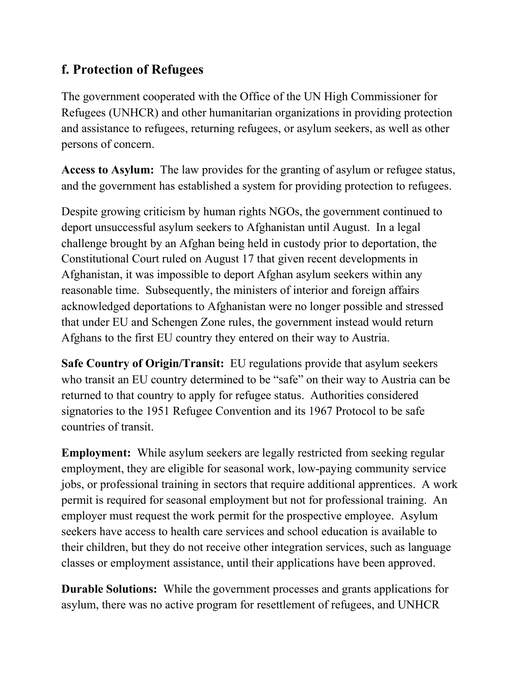### **f. Protection of Refugees**

The government cooperated with the Office of the UN High Commissioner for Refugees (UNHCR) and other humanitarian organizations in providing protection and assistance to refugees, returning refugees, or asylum seekers, as well as other persons of concern.

**Access to Asylum:** The law provides for the granting of asylum or refugee status, and the government has established a system for providing protection to refugees.

Despite growing criticism by human rights NGOs, the government continued to deport unsuccessful asylum seekers to Afghanistan until August. In a legal challenge brought by an Afghan being held in custody prior to deportation, the Constitutional Court ruled on August 17 that given recent developments in Afghanistan, it was impossible to deport Afghan asylum seekers within any reasonable time. Subsequently, the ministers of interior and foreign affairs acknowledged deportations to Afghanistan were no longer possible and stressed that under EU and Schengen Zone rules, the government instead would return Afghans to the first EU country they entered on their way to Austria.

**Safe Country of Origin/Transit:** EU regulations provide that asylum seekers who transit an EU country determined to be "safe" on their way to Austria can be returned to that country to apply for refugee status. Authorities considered signatories to the 1951 Refugee Convention and its 1967 Protocol to be safe countries of transit.

**Employment:** While asylum seekers are legally restricted from seeking regular employment, they are eligible for seasonal work, low-paying community service jobs, or professional training in sectors that require additional apprentices. A work permit is required for seasonal employment but not for professional training. An employer must request the work permit for the prospective employee. Asylum seekers have access to health care services and school education is available to their children, but they do not receive other integration services, such as language classes or employment assistance, until their applications have been approved.

**Durable Solutions:** While the government processes and grants applications for asylum, there was no active program for resettlement of refugees, and UNHCR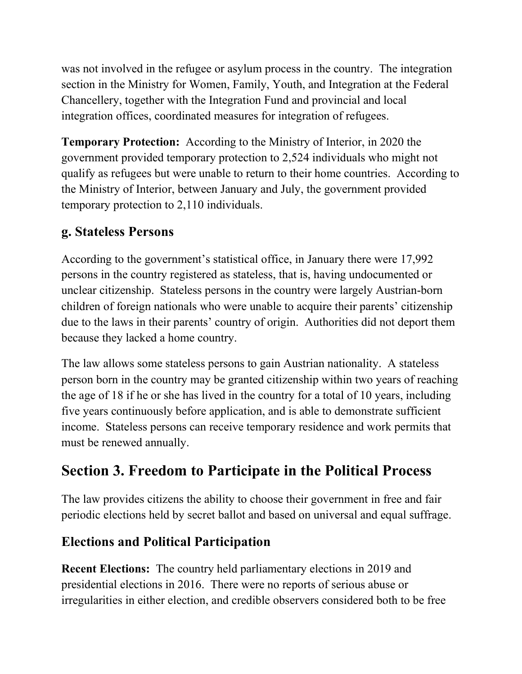was not involved in the refugee or asylum process in the country. The integration section in the Ministry for Women, Family, Youth, and Integration at the Federal Chancellery, together with the Integration Fund and provincial and local integration offices, coordinated measures for integration of refugees.

**Temporary Protection:** According to the Ministry of Interior, in 2020 the government provided temporary protection to 2,524 individuals who might not qualify as refugees but were unable to return to their home countries. According to the Ministry of Interior, between January and July, the government provided temporary protection to 2,110 individuals.

### **g. Stateless Persons**

According to the government's statistical office, in January there were 17,992 persons in the country registered as stateless, that is, having undocumented or unclear citizenship. Stateless persons in the country were largely Austrian-born children of foreign nationals who were unable to acquire their parents' citizenship due to the laws in their parents' country of origin. Authorities did not deport them because they lacked a home country.

The law allows some stateless persons to gain Austrian nationality. A stateless person born in the country may be granted citizenship within two years of reaching the age of 18 if he or she has lived in the country for a total of 10 years, including five years continuously before application, and is able to demonstrate sufficient income. Stateless persons can receive temporary residence and work permits that must be renewed annually.

# **Section 3. Freedom to Participate in the Political Process**

The law provides citizens the ability to choose their government in free and fair periodic elections held by secret ballot and based on universal and equal suffrage.

### **Elections and Political Participation**

**Recent Elections:** The country held parliamentary elections in 2019 and presidential elections in 2016. There were no reports of serious abuse or irregularities in either election, and credible observers considered both to be free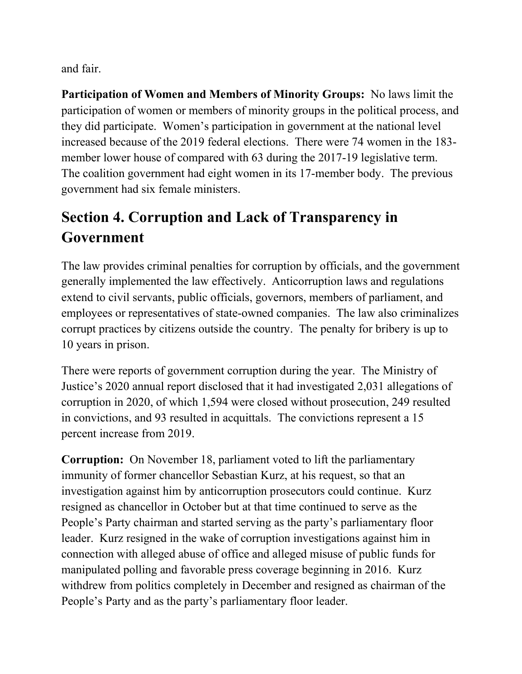and fair.

**Participation of Women and Members of Minority Groups:** No laws limit the participation of women or members of minority groups in the political process, and they did participate. Women's participation in government at the national level increased because of the 2019 federal elections. There were 74 women in the 183 member lower house of compared with 63 during the 2017-19 legislative term. The coalition government had eight women in its 17-member body. The previous government had six female ministers.

# **Section 4. Corruption and Lack of Transparency in Government**

The law provides criminal penalties for corruption by officials, and the government generally implemented the law effectively. Anticorruption laws and regulations extend to civil servants, public officials, governors, members of parliament, and employees or representatives of state-owned companies. The law also criminalizes corrupt practices by citizens outside the country. The penalty for bribery is up to 10 years in prison.

There were reports of government corruption during the year. The Ministry of Justice's 2020 annual report disclosed that it had investigated 2,031 allegations of corruption in 2020, of which 1,594 were closed without prosecution, 249 resulted in convictions, and 93 resulted in acquittals. The convictions represent a 15 percent increase from 2019.

**Corruption:** On November 18, parliament voted to lift the parliamentary immunity of former chancellor Sebastian Kurz, at his request, so that an investigation against him by anticorruption prosecutors could continue. Kurz resigned as chancellor in October but at that time continued to serve as the People's Party chairman and started serving as the party's parliamentary floor leader. Kurz resigned in the wake of corruption investigations against him in connection with alleged abuse of office and alleged misuse of public funds for manipulated polling and favorable press coverage beginning in 2016. Kurz withdrew from politics completely in December and resigned as chairman of the People's Party and as the party's parliamentary floor leader.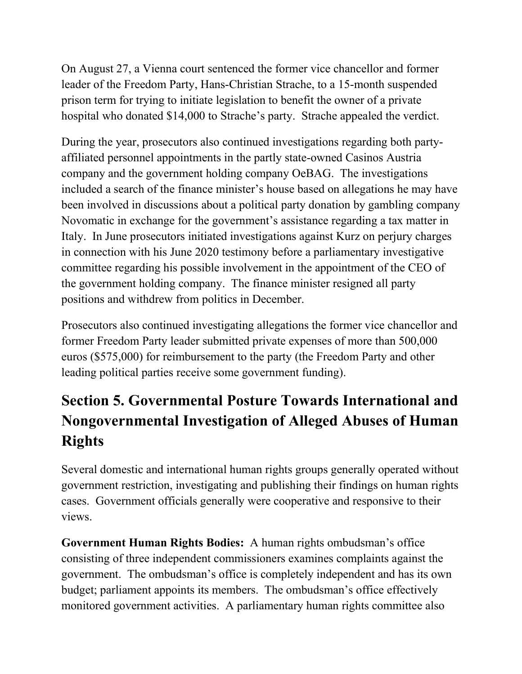On August 27, a Vienna court sentenced the former vice chancellor and former leader of the Freedom Party, Hans-Christian Strache, to a 15-month suspended prison term for trying to initiate legislation to benefit the owner of a private hospital who donated \$14,000 to Strache's party. Strache appealed the verdict.

During the year, prosecutors also continued investigations regarding both partyaffiliated personnel appointments in the partly state-owned Casinos Austria company and the government holding company OeBAG. The investigations included a search of the finance minister's house based on allegations he may have been involved in discussions about a political party donation by gambling company Novomatic in exchange for the government's assistance regarding a tax matter in Italy. In June prosecutors initiated investigations against Kurz on perjury charges in connection with his June 2020 testimony before a parliamentary investigative committee regarding his possible involvement in the appointment of the CEO of the government holding company. The finance minister resigned all party positions and withdrew from politics in December.

Prosecutors also continued investigating allegations the former vice chancellor and former Freedom Party leader submitted private expenses of more than 500,000 euros (\$575,000) for reimbursement to the party (the Freedom Party and other leading political parties receive some government funding).

# **Section 5. Governmental Posture Towards International and Nongovernmental Investigation of Alleged Abuses of Human Rights**

Several domestic and international human rights groups generally operated without government restriction, investigating and publishing their findings on human rights cases. Government officials generally were cooperative and responsive to their views.

**Government Human Rights Bodies:** A human rights ombudsman's office consisting of three independent commissioners examines complaints against the government. The ombudsman's office is completely independent and has its own budget; parliament appoints its members. The ombudsman's office effectively monitored government activities. A parliamentary human rights committee also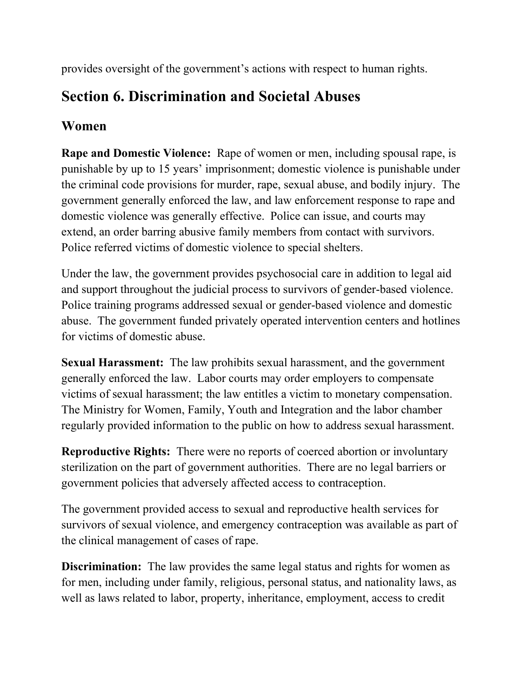provides oversight of the government's actions with respect to human rights.

# **Section 6. Discrimination and Societal Abuses**

## **Women**

**Rape and Domestic Violence:** Rape of women or men, including spousal rape, is punishable by up to 15 years' imprisonment; domestic violence is punishable under the criminal code provisions for murder, rape, sexual abuse, and bodily injury. The government generally enforced the law, and law enforcement response to rape and domestic violence was generally effective. Police can issue, and courts may extend, an order barring abusive family members from contact with survivors. Police referred victims of domestic violence to special shelters.

Under the law, the government provides psychosocial care in addition to legal aid and support throughout the judicial process to survivors of gender-based violence. Police training programs addressed sexual or gender-based violence and domestic abuse. The government funded privately operated intervention centers and hotlines for victims of domestic abuse.

**Sexual Harassment:** The law prohibits sexual harassment, and the government generally enforced the law. Labor courts may order employers to compensate victims of sexual harassment; the law entitles a victim to monetary compensation. The Ministry for Women, Family, Youth and Integration and the labor chamber regularly provided information to the public on how to address sexual harassment.

**Reproductive Rights:** There were no reports of coerced abortion or involuntary sterilization on the part of government authorities. There are no legal barriers or government policies that adversely affected access to contraception.

The government provided access to sexual and reproductive health services for survivors of sexual violence, and emergency contraception was available as part of the clinical management of cases of rape.

**Discrimination:** The law provides the same legal status and rights for women as for men, including under family, religious, personal status, and nationality laws, as well as laws related to labor, property, inheritance, employment, access to credit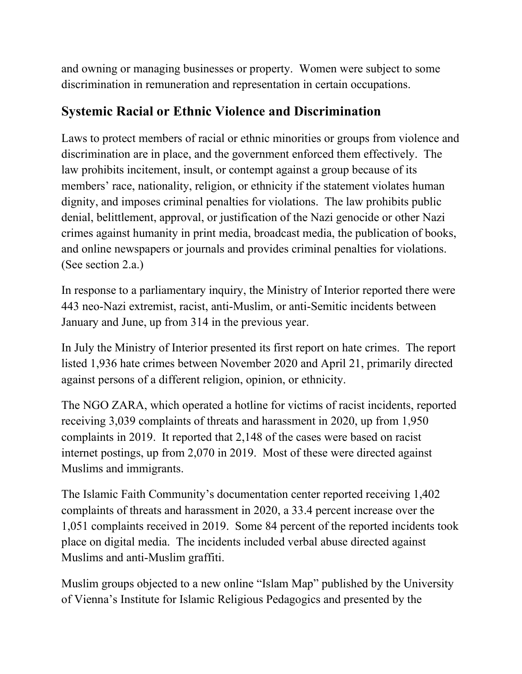and owning or managing businesses or property. Women were subject to some discrimination in remuneration and representation in certain occupations.

### **Systemic Racial or Ethnic Violence and Discrimination**

Laws to protect members of racial or ethnic minorities or groups from violence and discrimination are in place, and the government enforced them effectively. The law prohibits incitement, insult, or contempt against a group because of its members' race, nationality, religion, or ethnicity if the statement violates human dignity, and imposes criminal penalties for violations. The law prohibits public denial, belittlement, approval, or justification of the Nazi genocide or other Nazi crimes against humanity in print media, broadcast media, the publication of books, and online newspapers or journals and provides criminal penalties for violations. (See section 2.a.)

In response to a parliamentary inquiry, the Ministry of Interior reported there were 443 neo-Nazi extremist, racist, anti-Muslim, or anti-Semitic incidents between January and June, up from 314 in the previous year.

In July the Ministry of Interior presented its first report on hate crimes. The report listed 1,936 hate crimes between November 2020 and April 21, primarily directed against persons of a different religion, opinion, or ethnicity.

The NGO ZARA, which operated a hotline for victims of racist incidents, reported receiving 3,039 complaints of threats and harassment in 2020, up from 1,950 complaints in 2019. It reported that 2,148 of the cases were based on racist internet postings, up from 2,070 in 2019. Most of these were directed against Muslims and immigrants.

The Islamic Faith Community's documentation center reported receiving 1,402 complaints of threats and harassment in 2020, a 33.4 percent increase over the 1,051 complaints received in 2019. Some 84 percent of the reported incidents took place on digital media. The incidents included verbal abuse directed against Muslims and anti-Muslim graffiti.

Muslim groups objected to a new online "Islam Map" published by the University of Vienna's Institute for Islamic Religious Pedagogics and presented by the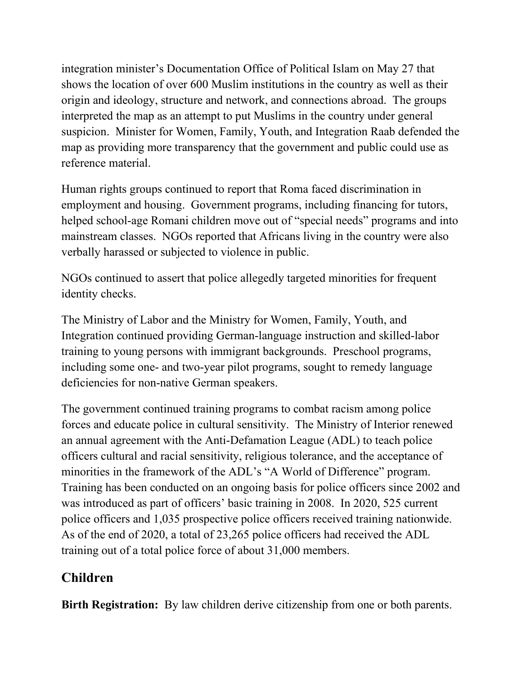integration minister's Documentation Office of Political Islam on May 27 that shows the location of over 600 Muslim institutions in the country as well as their origin and ideology, structure and network, and connections abroad. The groups interpreted the map as an attempt to put Muslims in the country under general suspicion. Minister for Women, Family, Youth, and Integration Raab defended the map as providing more transparency that the government and public could use as reference material.

Human rights groups continued to report that Roma faced discrimination in employment and housing. Government programs, including financing for tutors, helped school-age Romani children move out of "special needs" programs and into mainstream classes. NGOs reported that Africans living in the country were also verbally harassed or subjected to violence in public.

NGOs continued to assert that police allegedly targeted minorities for frequent identity checks.

The Ministry of Labor and the Ministry for Women, Family, Youth, and Integration continued providing German-language instruction and skilled-labor training to young persons with immigrant backgrounds. Preschool programs, including some one- and two-year pilot programs, sought to remedy language deficiencies for non-native German speakers.

The government continued training programs to combat racism among police forces and educate police in cultural sensitivity. The Ministry of Interior renewed an annual agreement with the Anti-Defamation League (ADL) to teach police officers cultural and racial sensitivity, religious tolerance, and the acceptance of minorities in the framework of the ADL's "A World of Difference" program. Training has been conducted on an ongoing basis for police officers since 2002 and was introduced as part of officers' basic training in 2008. In 2020, 525 current police officers and 1,035 prospective police officers received training nationwide. As of the end of 2020, a total of 23,265 police officers had received the ADL training out of a total police force of about 31,000 members.

## **Children**

**Birth Registration:** By law children derive citizenship from one or both parents.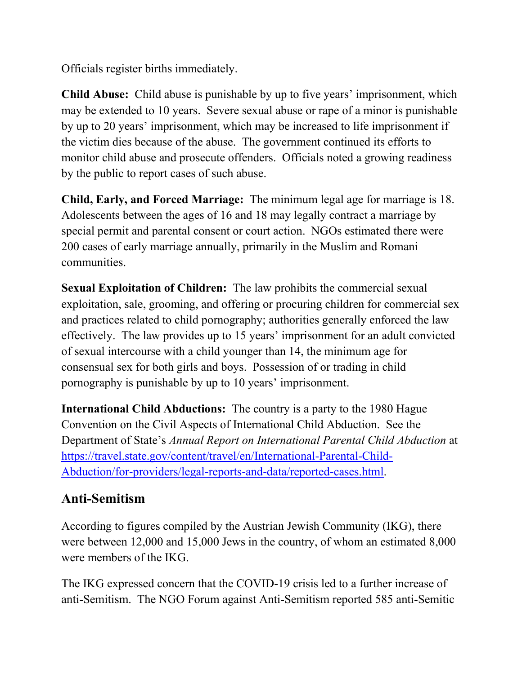Officials register births immediately.

**Child Abuse:** Child abuse is punishable by up to five years' imprisonment, which may be extended to 10 years. Severe sexual abuse or rape of a minor is punishable by up to 20 years' imprisonment, which may be increased to life imprisonment if the victim dies because of the abuse. The government continued its efforts to monitor child abuse and prosecute offenders. Officials noted a growing readiness by the public to report cases of such abuse.

**Child, Early, and Forced Marriage:** The minimum legal age for marriage is 18. Adolescents between the ages of 16 and 18 may legally contract a marriage by special permit and parental consent or court action. NGOs estimated there were 200 cases of early marriage annually, primarily in the Muslim and Romani communities.

**Sexual Exploitation of Children:** The law prohibits the commercial sexual exploitation, sale, grooming, and offering or procuring children for commercial sex and practices related to child pornography; authorities generally enforced the law effectively. The law provides up to 15 years' imprisonment for an adult convicted of sexual intercourse with a child younger than 14, the minimum age for consensual sex for both girls and boys. Possession of or trading in child pornography is punishable by up to 10 years' imprisonment.

**International Child Abductions:** The country is a party to the 1980 Hague Convention on the Civil Aspects of International Child Abduction. See the Department of State's *Annual Report on International Parental Child Abduction* at [https://travel.state.gov/content/travel/en/International-Parental-Child-](https://travel.state.gov/content/travel/en/International-Parental-Child-Abduction/for-providers/legal-reports-and-data/reported-cases.html)[Abduction/for-providers/legal-reports-and-data/reported-cases.html.](https://travel.state.gov/content/travel/en/International-Parental-Child-Abduction/for-providers/legal-reports-and-data/reported-cases.html)

## **Anti-Semitism**

According to figures compiled by the Austrian Jewish Community (IKG), there were between 12,000 and 15,000 Jews in the country, of whom an estimated 8,000 were members of the IKG.

The IKG expressed concern that the COVID-19 crisis led to a further increase of anti-Semitism. The NGO Forum against Anti-Semitism reported 585 anti-Semitic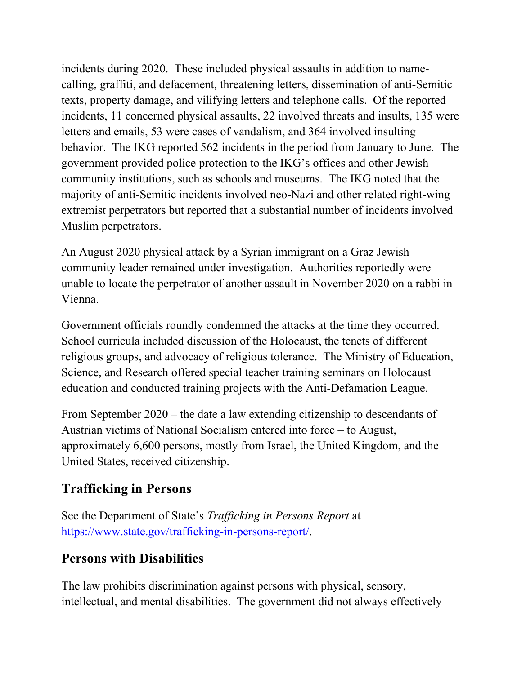incidents during 2020. These included physical assaults in addition to namecalling, graffiti, and defacement, threatening letters, dissemination of anti-Semitic texts, property damage, and vilifying letters and telephone calls. Of the reported incidents, 11 concerned physical assaults, 22 involved threats and insults, 135 were letters and emails, 53 were cases of vandalism, and 364 involved insulting behavior. The IKG reported 562 incidents in the period from January to June. The government provided police protection to the IKG's offices and other Jewish community institutions, such as schools and museums. The IKG noted that the majority of anti-Semitic incidents involved neo-Nazi and other related right-wing extremist perpetrators but reported that a substantial number of incidents involved Muslim perpetrators.

An August 2020 physical attack by a Syrian immigrant on a Graz Jewish community leader remained under investigation. Authorities reportedly were unable to locate the perpetrator of another assault in November 2020 on a rabbi in Vienna.

Government officials roundly condemned the attacks at the time they occurred. School curricula included discussion of the Holocaust, the tenets of different religious groups, and advocacy of religious tolerance. The Ministry of Education, Science, and Research offered special teacher training seminars on Holocaust education and conducted training projects with the Anti-Defamation League.

From September 2020 – the date a law extending citizenship to descendants of Austrian victims of National Socialism entered into force – to August, approximately 6,600 persons, mostly from Israel, the United Kingdom, and the United States, received citizenship.

# **Trafficking in Persons**

See the Department of State's *Trafficking in Persons Report* at [https://www.state.gov/trafficking-in-persons-report/.](https://www.state.gov/trafficking-in-persons-report/)

## **Persons with Disabilities**

The law prohibits discrimination against persons with physical, sensory, intellectual, and mental disabilities. The government did not always effectively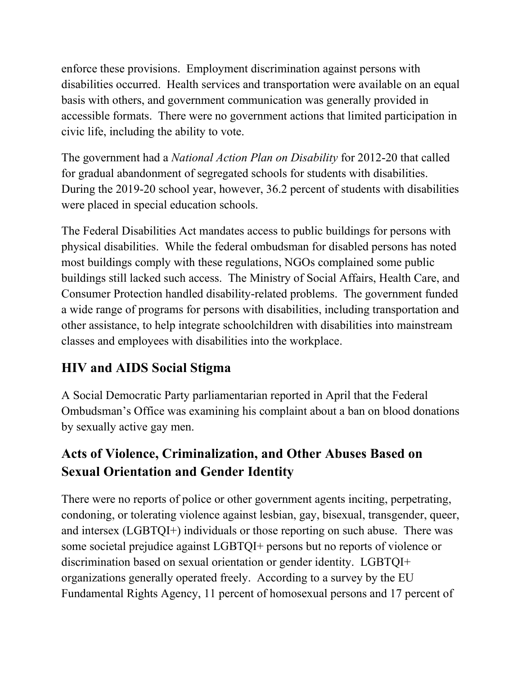enforce these provisions. Employment discrimination against persons with disabilities occurred. Health services and transportation were available on an equal basis with others, and government communication was generally provided in accessible formats. There were no government actions that limited participation in civic life, including the ability to vote.

The government had a *National Action Plan on Disability* for 2012-20 that called for gradual abandonment of segregated schools for students with disabilities. During the 2019-20 school year, however, 36.2 percent of students with disabilities were placed in special education schools.

The Federal Disabilities Act mandates access to public buildings for persons with physical disabilities. While the federal ombudsman for disabled persons has noted most buildings comply with these regulations, NGOs complained some public buildings still lacked such access. The Ministry of Social Affairs, Health Care, and Consumer Protection handled disability-related problems. The government funded a wide range of programs for persons with disabilities, including transportation and other assistance, to help integrate schoolchildren with disabilities into mainstream classes and employees with disabilities into the workplace.

# **HIV and AIDS Social Stigma**

A Social Democratic Party parliamentarian reported in April that the Federal Ombudsman's Office was examining his complaint about a ban on blood donations by sexually active gay men.

# **Acts of Violence, Criminalization, and Other Abuses Based on Sexual Orientation and Gender Identity**

There were no reports of police or other government agents inciting, perpetrating, condoning, or tolerating violence against lesbian, gay, bisexual, transgender, queer, and intersex (LGBTQI+) individuals or those reporting on such abuse. There was some societal prejudice against LGBTQI+ persons but no reports of violence or discrimination based on sexual orientation or gender identity. LGBTQI+ organizations generally operated freely. According to a survey by the EU Fundamental Rights Agency, 11 percent of homosexual persons and 17 percent of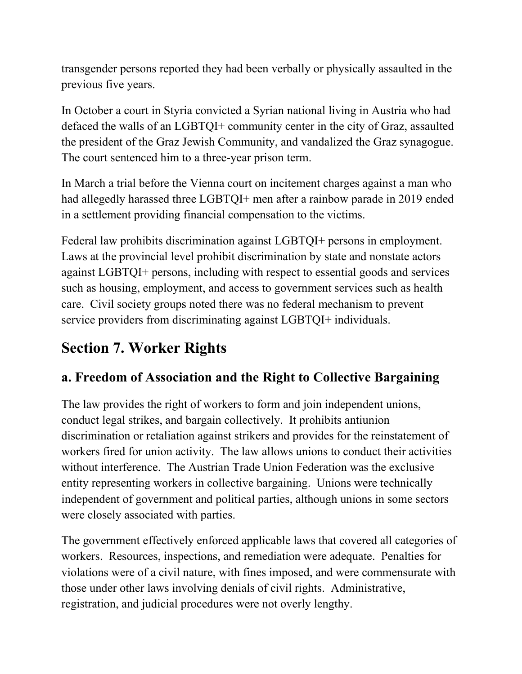transgender persons reported they had been verbally or physically assaulted in the previous five years.

In October a court in Styria convicted a Syrian national living in Austria who had defaced the walls of an LGBTQI+ community center in the city of Graz, assaulted the president of the Graz Jewish Community, and vandalized the Graz synagogue. The court sentenced him to a three-year prison term.

In March a trial before the Vienna court on incitement charges against a man who had allegedly harassed three LGBTQI+ men after a rainbow parade in 2019 ended in a settlement providing financial compensation to the victims.

Federal law prohibits discrimination against LGBTQI+ persons in employment. Laws at the provincial level prohibit discrimination by state and nonstate actors against LGBTQI+ persons, including with respect to essential goods and services such as housing, employment, and access to government services such as health care. Civil society groups noted there was no federal mechanism to prevent service providers from discriminating against LGBTQI+ individuals.

# **Section 7. Worker Rights**

## **a. Freedom of Association and the Right to Collective Bargaining**

The law provides the right of workers to form and join independent unions, conduct legal strikes, and bargain collectively. It prohibits antiunion discrimination or retaliation against strikers and provides for the reinstatement of workers fired for union activity. The law allows unions to conduct their activities without interference. The Austrian Trade Union Federation was the exclusive entity representing workers in collective bargaining. Unions were technically independent of government and political parties, although unions in some sectors were closely associated with parties.

The government effectively enforced applicable laws that covered all categories of workers. Resources, inspections, and remediation were adequate. Penalties for violations were of a civil nature, with fines imposed, and were commensurate with those under other laws involving denials of civil rights. Administrative, registration, and judicial procedures were not overly lengthy.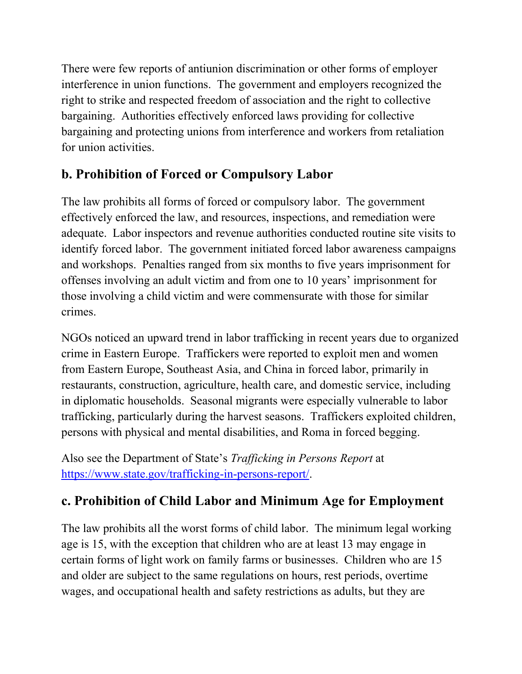There were few reports of antiunion discrimination or other forms of employer interference in union functions. The government and employers recognized the right to strike and respected freedom of association and the right to collective bargaining. Authorities effectively enforced laws providing for collective bargaining and protecting unions from interference and workers from retaliation for union activities.

## **b. Prohibition of Forced or Compulsory Labor**

The law prohibits all forms of forced or compulsory labor. The government effectively enforced the law, and resources, inspections, and remediation were adequate. Labor inspectors and revenue authorities conducted routine site visits to identify forced labor. The government initiated forced labor awareness campaigns and workshops. Penalties ranged from six months to five years imprisonment for offenses involving an adult victim and from one to 10 years' imprisonment for those involving a child victim and were commensurate with those for similar crimes.

NGOs noticed an upward trend in labor trafficking in recent years due to organized crime in Eastern Europe. Traffickers were reported to exploit men and women from Eastern Europe, Southeast Asia, and China in forced labor, primarily in restaurants, construction, agriculture, health care, and domestic service, including in diplomatic households. Seasonal migrants were especially vulnerable to labor trafficking, particularly during the harvest seasons. Traffickers exploited children, persons with physical and mental disabilities, and Roma in forced begging.

Also see the Department of State's *Trafficking in Persons Report* at [https://www.state.gov/trafficking-in-persons-report/.](https://www.state.gov/trafficking-in-persons-report/)

## **c. Prohibition of Child Labor and Minimum Age for Employment**

The law prohibits all the worst forms of child labor. The minimum legal working age is 15, with the exception that children who are at least 13 may engage in certain forms of light work on family farms or businesses. Children who are 15 and older are subject to the same regulations on hours, rest periods, overtime wages, and occupational health and safety restrictions as adults, but they are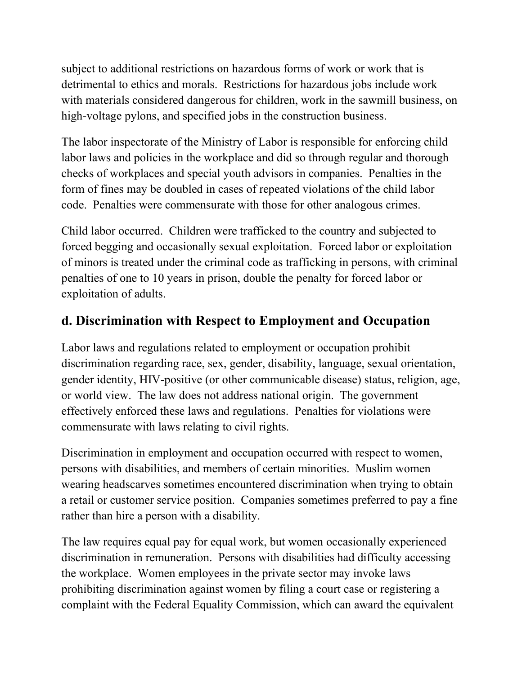subject to additional restrictions on hazardous forms of work or work that is detrimental to ethics and morals. Restrictions for hazardous jobs include work with materials considered dangerous for children, work in the sawmill business, on high-voltage pylons, and specified jobs in the construction business.

The labor inspectorate of the Ministry of Labor is responsible for enforcing child labor laws and policies in the workplace and did so through regular and thorough checks of workplaces and special youth advisors in companies. Penalties in the form of fines may be doubled in cases of repeated violations of the child labor code. Penalties were commensurate with those for other analogous crimes.

Child labor occurred. Children were trafficked to the country and subjected to forced begging and occasionally sexual exploitation. Forced labor or exploitation of minors is treated under the criminal code as trafficking in persons, with criminal penalties of one to 10 years in prison, double the penalty for forced labor or exploitation of adults.

### **d. Discrimination with Respect to Employment and Occupation**

Labor laws and regulations related to employment or occupation prohibit discrimination regarding race, sex, gender, disability, language, sexual orientation, gender identity, HIV-positive (or other communicable disease) status, religion, age, or world view. The law does not address national origin. The government effectively enforced these laws and regulations. Penalties for violations were commensurate with laws relating to civil rights.

Discrimination in employment and occupation occurred with respect to women, persons with disabilities, and members of certain minorities. Muslim women wearing headscarves sometimes encountered discrimination when trying to obtain a retail or customer service position. Companies sometimes preferred to pay a fine rather than hire a person with a disability.

The law requires equal pay for equal work, but women occasionally experienced discrimination in remuneration. Persons with disabilities had difficulty accessing the workplace. Women employees in the private sector may invoke laws prohibiting discrimination against women by filing a court case or registering a complaint with the Federal Equality Commission, which can award the equivalent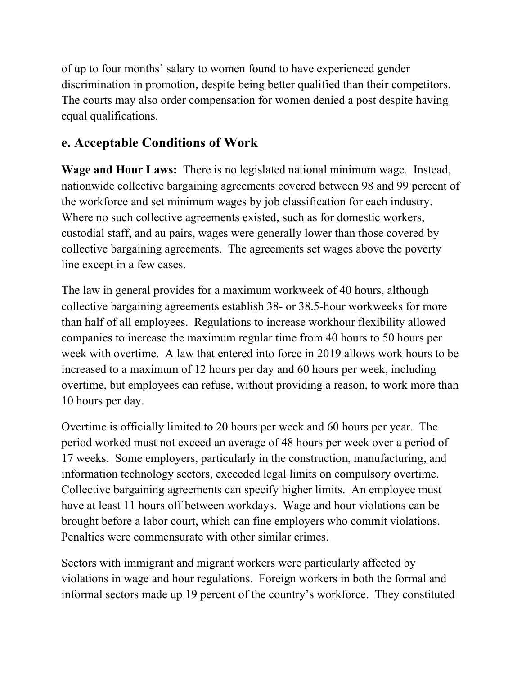of up to four months' salary to women found to have experienced gender discrimination in promotion, despite being better qualified than their competitors. The courts may also order compensation for women denied a post despite having equal qualifications.

### **e. Acceptable Conditions of Work**

**Wage and Hour Laws:** There is no legislated national minimum wage. Instead, nationwide collective bargaining agreements covered between 98 and 99 percent of the workforce and set minimum wages by job classification for each industry. Where no such collective agreements existed, such as for domestic workers, custodial staff, and au pairs, wages were generally lower than those covered by collective bargaining agreements. The agreements set wages above the poverty line except in a few cases.

The law in general provides for a maximum workweek of 40 hours, although collective bargaining agreements establish 38- or 38.5-hour workweeks for more than half of all employees. Regulations to increase workhour flexibility allowed companies to increase the maximum regular time from 40 hours to 50 hours per week with overtime. A law that entered into force in 2019 allows work hours to be increased to a maximum of 12 hours per day and 60 hours per week, including overtime, but employees can refuse, without providing a reason, to work more than 10 hours per day.

Overtime is officially limited to 20 hours per week and 60 hours per year. The period worked must not exceed an average of 48 hours per week over a period of 17 weeks. Some employers, particularly in the construction, manufacturing, and information technology sectors, exceeded legal limits on compulsory overtime. Collective bargaining agreements can specify higher limits. An employee must have at least 11 hours off between workdays. Wage and hour violations can be brought before a labor court, which can fine employers who commit violations. Penalties were commensurate with other similar crimes.

Sectors with immigrant and migrant workers were particularly affected by violations in wage and hour regulations. Foreign workers in both the formal and informal sectors made up 19 percent of the country's workforce. They constituted